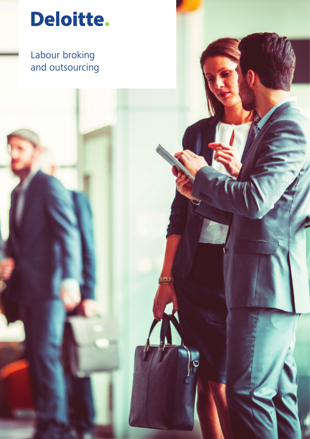

# Labour broking and outsourcing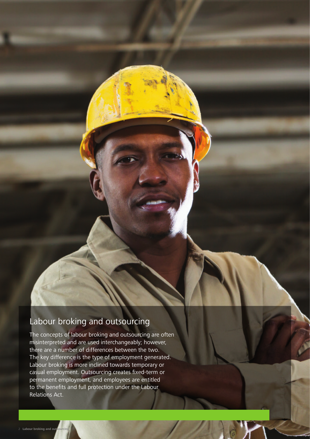## Labour broking and outsourcing

The concepts of labour broking and outsourcing are often misinterpreted and are used interchangeably; however, there are a number of differences between the two. The key difference is the type of employment generated. Labour broking is more inclined towards temporary or casual employment. Outsourcing creates fixed-term or permanent employment, and employees are entitled to the benefits and full protection under the Labour Relations Act.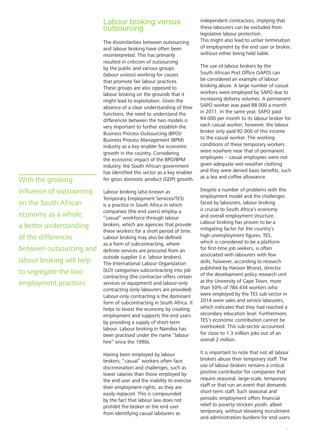#### Labour broking versus outsourcing

The dissimilarities between outsourcing and labour broking have often been misinterpreted. This has primarily resulted in criticism of outsourcing by the public and various groups (labour unions) working for causes that promote fair labour practices. These groups are also opposed to labour broking on the grounds that it might lead to exploitation. Given the absence of a clear understanding of their functions, the need to understand the differences between the two models is very important to further establish the Business Process Outsourcing (BPO)/ Business Process Management (BPM) industry as a key enabler for economic growth in the country. Considering the economic impact of the BPO/BPM industry, the South African government has identified this sector as a key enabler for gross domestic product (GDP) growth.

With the growing influence of outsourcing on the South African economy as a whole, a better understanding of the differences between outsourcing and labour broking will help to segregate the two employment practices.

Labour broking (also known as Temporary Employment Services/TES) is a practice in South Africa in which companies (the end users) employ a "casual" workforce through labour brokers, which are agencies that provide these workers for a short period of time. Labour broking may also be defined as a form of subcontracting, where definite services are procured from an outside supplier (i.e. labour brokers). The International Labour Organization (ILO) categorises subcontracting into job contracting (the contractor offers certain services or equipment) and labour-only contracting (only labourers are provided). Labour-only contracting is the dominant form of subcontracting in South Africa. It helps to boost the economy by creating employment and supports the end users by providing a supply of short-term labour. Labour broking in Namibia has been practised under the name "labour hire" since the 1990s.

Having been employed by labour brokers, "casual" workers often face discrimination and challenges, such as lower salaries than those employed by the end user and the inability to exercise their employment rights, as they are easily replaced. This is compounded by the fact that labour law does not prohibit the broker or the end user from identifying casual labourers as

independent contractors, implying that these labourers can be excluded from legislative labour protection. This might also lead to unfair termination of employment by the end user or broker, without either being held liable.

The use of labour brokers by the South African Post Office (SAPO) can be considered an example of labour broking abuse. A large number of casual workers were employed by SAPO due to increasing delivery volumes. A permanent SAPO worker was paid R8 000 a month in 2011. In the same year, SAPO paid R4 000 per month to its labour broker for each casual worker; however, the labour broker only paid R2 000 of this income to the casual worker. The working conditions of these temporary workers were nowhere near that of permanent employees – casual employees were not given adequate wet-weather clothing and they were denied basic benefits, such as a tea and coffee allowance.

Despite a number of problems with this employment model and the challenges faced by labourers, labour broking is crucial to South Africa's economy and overall employment structure. Labour broking has proven to be a mitigating factor for the country's high unemployment figures. TES, which is considered to be a platform for first-time job seekers, is often associated with labourers with few skills; however, according to research published by Haroon Bhorat, director of the development policy research unit at the University of Cape Town, more than 50% of 784 434 workers who were employed by the TES sub-sector in 2014 were sales and service labourers, which indicates that they had reached a secondary education level. Furthermore, TES's economic contribution cannot be overlooked. This sub-sector accounted for close to 1.3 million jobs out of an overall 2 million.

It is important to note that not all labour brokers abuse their temporary staff. The use of labour brokers remains a critical positive contributor for companies that require seasonal, large-scale, temporary staff or that run an event that demands short-term staff. Such seasonal and periodic employment offers financial relief to poverty-stricken youth, albeit temporary, without elevating recruitment and administration burdens for end users.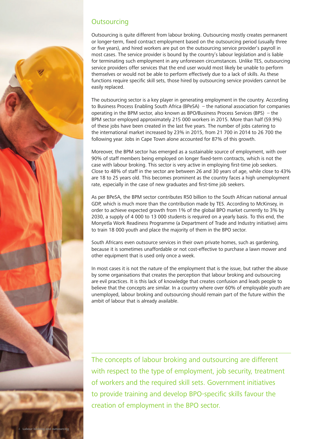

### **Outsourcing**

Outsourcing is quite different from labour broking. Outsourcing mostly creates permanent or longer-term, fixed contract employment based on the outsourcing period (usually three or five years), and hired workers are put on the outsourcing service provider's payroll in most cases. The service provider is bound by the country's labour legislation and is liable for terminating such employment in any unforeseen circumstances. Unlike TES, outsourcing service providers offer services that the end user would most likely be unable to perform themselves or would not be able to perform effectively due to a lack of skills. As these functions require specific skill sets, those hired by outsourcing service providers cannot be easily replaced.

The outsourcing sector is a key player in generating employment in the country. According to Business Process Enabling South Africa (BPeSA) – the national association for companies operating in the BPM sector, also known as BPO/Business Process Services (BPS) – the BPM sector employed approximately 215 000 workers in 2015. More than half (59.9%) of these jobs have been created in the last five years. The number of jobs catering to the international market increased by 23% in 2015, from 21 700 in 2014 to 26 700 the following year. Jobs in Cape Town alone accounted for 87% of this growth.

Moreover, the BPM sector has emerged as a sustainable source of employment, with over 90% of staff members being employed on longer fixed-term contracts, which is not the case with labour broking. This sector is very active in employing first-time job seekers. Close to 48% of staff in the sector are between 26 and 30 years of age, while close to 43% are 18 to 25 years old. This becomes prominent as the country faces a high unemployment rate, especially in the case of new graduates and first-time job seekers.

As per BPeSA, the BPM sector contributes R50 billion to the South African national annual GDP, which is much more than the contribution made by TES. According to McKinsey, in order to achieve expected growth from 1% of the global BPO market currently to 3% by 2030, a supply of 4 000 to 13 000 students is required on a yearly basis. To this end, the Monyetla Work Readiness Programme (a Department of Trade and Industry initiative) aims to train 18 000 youth and place the majority of them in the BPO sector.

South Africans even outsource services in their own private homes, such as gardening, because it is sometimes unaffordable or not cost-effective to purchase a lawn mower and other equipment that is used only once a week.

In most cases it is not the nature of the employment that is the issue, but rather the abuse by some organisations that creates the perception that labour broking and outsourcing are evil practices. It is this lack of knowledge that creates confusion and leads people to believe that the concepts are similar. In a country where over 60% of employable youth are unemployed, labour broking and outsourcing should remain part of the future within the ambit of labour that is already available.

The concepts of labour broking and outsourcing are different with respect to the type of employment, job security, treatment of workers and the required skill sets. Government initiatives to provide training and develop BPO-specific skills favour the creation of employment in the BPO sector.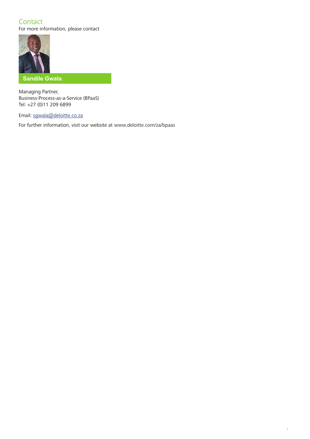## **Contact**

For more information, please contact



#### **Sandile Gwala**

Managing Partner, Business-Process-as-a-Service (BPaaS) Tel: +27 (0)11 209 6899

Email: sgwala@deloitte.co.za

For further information, visit our website at www.deloitte.com/za/bpaas